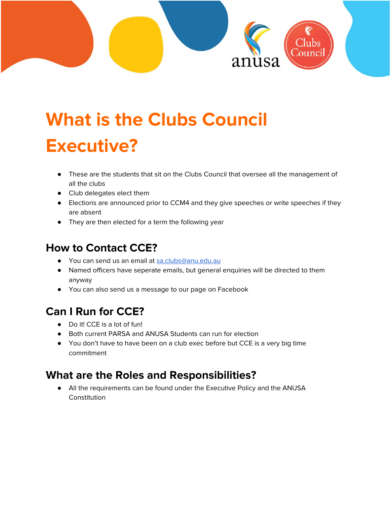

# **What is the Clubs Council Executive?**

- These are the students that sit on the Clubs Council that oversee all the management of all the clubs
- Club delegates elect them
- Elections are announced prior to CCM4 and they give speeches or write speeches if they are absent
- They are then elected for a term the following year

## **How to Contact CCE?**

- You can send us an email at [sa.clubs@anu.edu.au](mailto:sa.clubs@anu.edu.au)
- Named officers have seperate emails, but general enquiries will be directed to them anyway
- You can also send us a message to our page on Facebook

## **Can I Run for CCE?**

- Do it! CCE is a lot of fun!
- Both current PARSA and ANUSA Students can run for election
- You don't have to have been on a club exec before but CCE is a very big time commitment

### **What are the Roles and Responsibilities?**

● All the requirements can be found under the Executive Policy and the ANUSA Constitution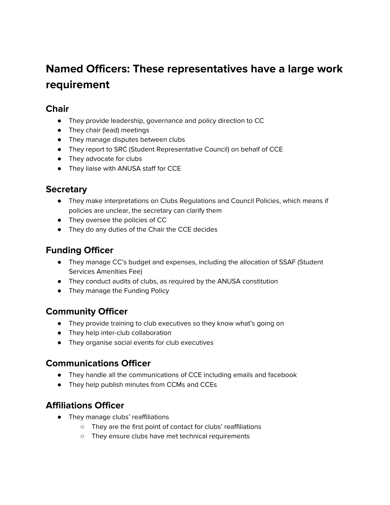## **Named Officers: These representatives have a large work requirement**

#### **Chair**

- They provide leadership, governance and policy direction to CC
- They chair (lead) meetings
- They manage disputes between clubs
- They report to SRC (Student Representative Council) on behalf of CCE
- They advocate for clubs
- They liaise with ANUSA staff for CCE

#### **Secretary**

- They make interpretations on Clubs Regulations and Council Policies, which means if policies are unclear, the secretary can clarify them
- They oversee the policies of CC
- They do any duties of the Chair the CCE decides

#### **Funding Officer**

- They manage CC's budget and expenses, including the allocation of SSAF (Student Services Amenities Fee)
- They conduct audits of clubs, as required by the ANUSA constitution
- They manage the Funding Policy

#### **Community Officer**

- They provide training to club executives so they know what's going on
- They help inter-club collaboration
- They organise social events for club executives

#### **Communications Officer**

- They handle all the communications of CCE including emails and facebook
- They help publish minutes from CCMs and CCEs

#### **Affiliations Officer**

- They manage clubs' reaffiliations
	- They are the first point of contact for clubs' reaffiliations
	- They ensure clubs have met technical requirements